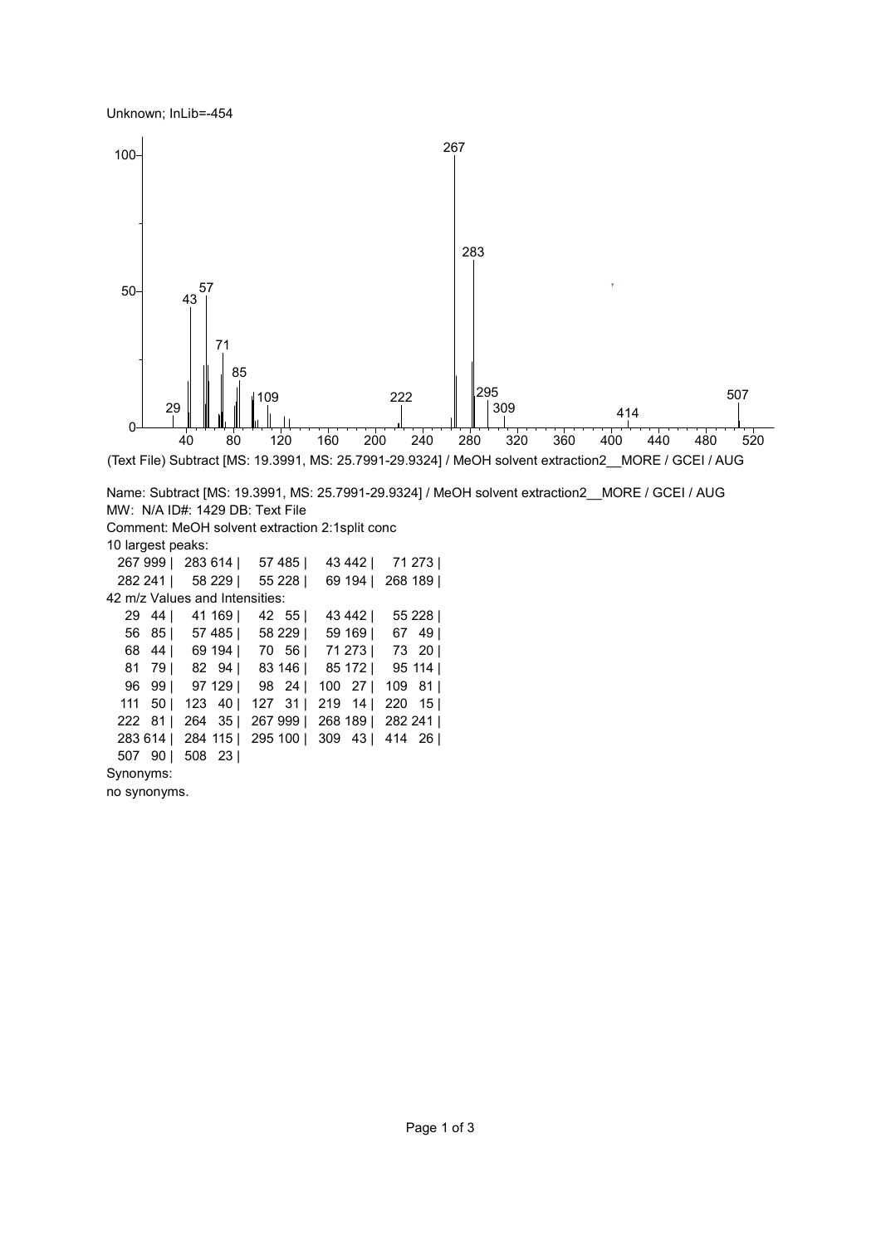Unknown; InLib=-454



```
Name: Subtract [MS: 19.3991, MS: 25.7991-29.9324] / MeOH solvent extraction2__MORE / GCEI / AUG
MW: N/A ID#: 1429 DB: Text File
Comment: MeOH solvent extraction 2:1split conc
10 largest peaks: 
 267 999 | 283 614 | 57 485 | 43 442 | 71 273 |
 282 241 | 58 229 | 55 228 | 69 194 | 268 189 |
42 m/z Values and Intensities: 
  29 44 | 41 169 | 42 55 | 43 442 | 55 228 |
  56 85 | 57 485 | 58 229 | 59 169 | 67 49 |
  68 44 | 69 194 | 70 56 | 71 273 | 73 20 |
  81 79 | 82 94 | 83 146 | 85 172 | 95 114 |
  96 99 | 97 129 | 98 24 | 100 27 | 109 81 |
  111 50 | 123 40 | 127 31 | 219 14 | 220 15 |
 222 81 | 264 35 | 267 999 | 268 189 | 282 241 |
 283 614 | 284 115 | 295 100 | 309 43 | 414 26 |
 507 90 | 508 23 |
Synonyms: 
no synonyms.
```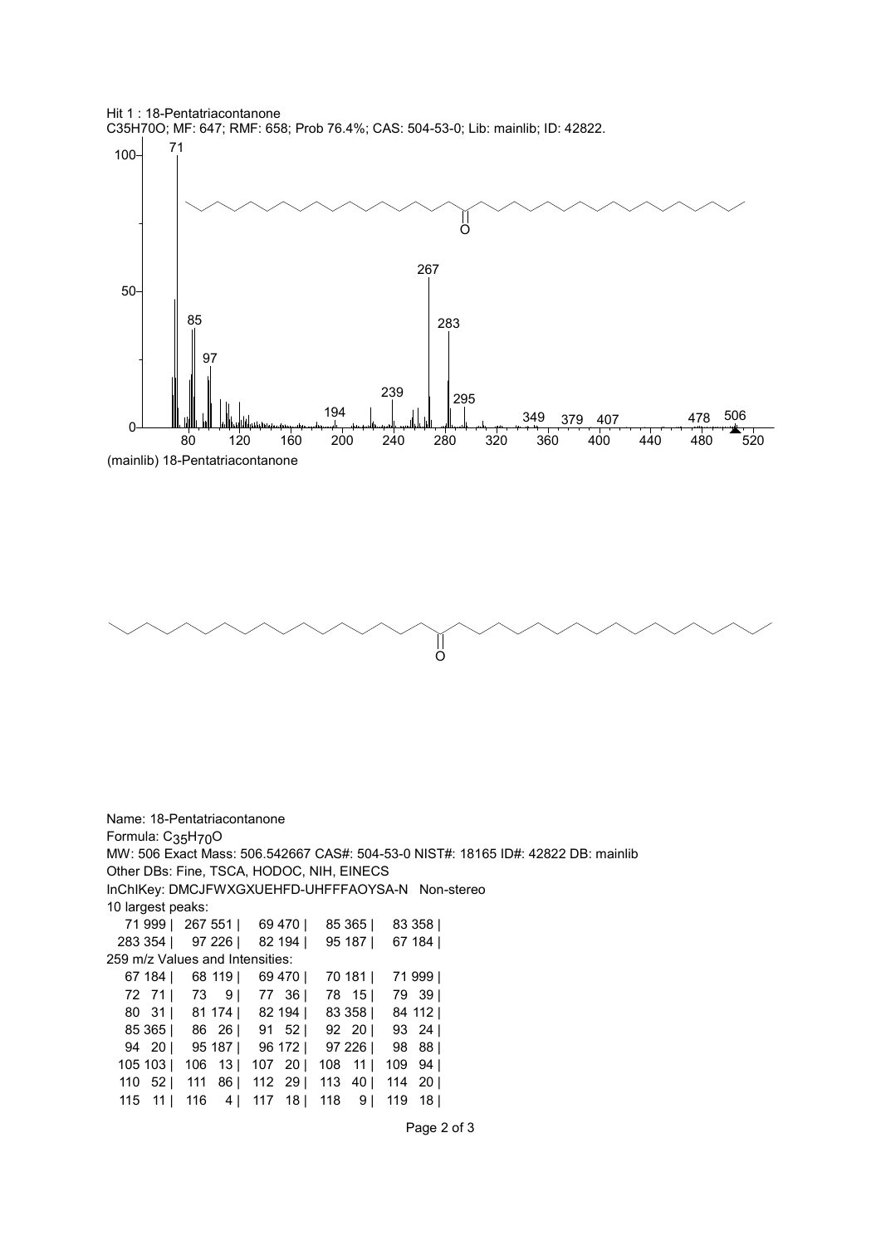





Name: 18-Pentatriacontanone Formula: C35H70O MW: 506 Exact Mass: 506.542667 CAS#: 504-53-0 NIST#: 18165 ID#: 42822 DB: mainlib Other DBs: Fine, TSCA, HODOC, NIH, EINECS InChIKey: DMCJFWXGXUEHFD-UHFFFAOYSA-N Non-stereo 10 largest peaks: 71 999 | 267 551 | 69 470 | 85 365 | 83 358 | 283 354 | 97 226 | 82 194 | 95 187 | 67 184 | 259 m/z Values and Intensities: 67 184 | 68 119 | 69 470 | 70 181 | 71 999 | 72 71 | 73 9 | 77 36 | 78 15 | 79 39 | 80 31 | 81 174 | 82 194 | 83 358 | 84 112 | 85 365 | 86 26 | 91 52 | 92 20 | 93 24 | 94 20 | 95 187 | 96 172 | 97 226 | 98 88 | 105 103 | 106 13 | 107 20 | 108 11 | 109 94 | 110 52 | 111 86 | 112 29 | 113 40 | 114 20 | 115 11 | 116 4 | 117 18 | 118 9 | 119 18 |